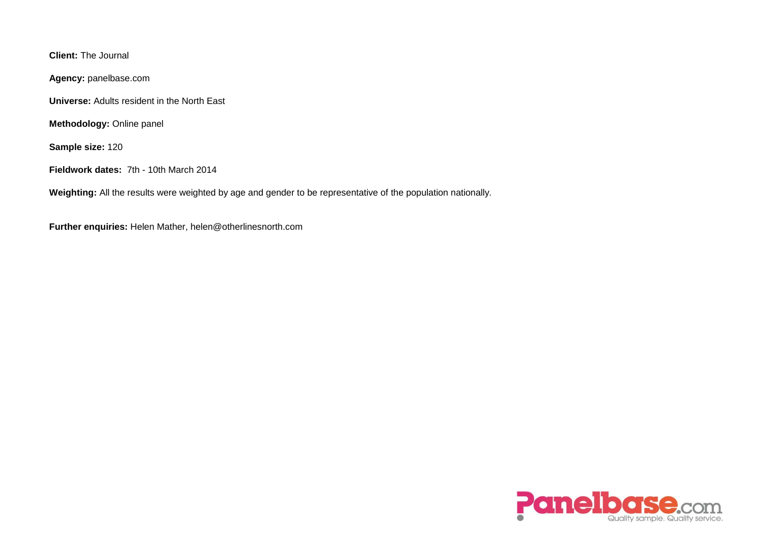**Client:** The Journal

**Agency:** panelbase.com

**Universe:** Adults resident in the North East

**Methodology:** Online panel

**Sample size:** 120

**Fieldwork dates:** 7th - 10th March 2014

**Weighting:** All the results were weighted by age and gender to be representative of the population nationally.

**Further enquiries:** Helen Mather, helen@otherlinesnorth.com

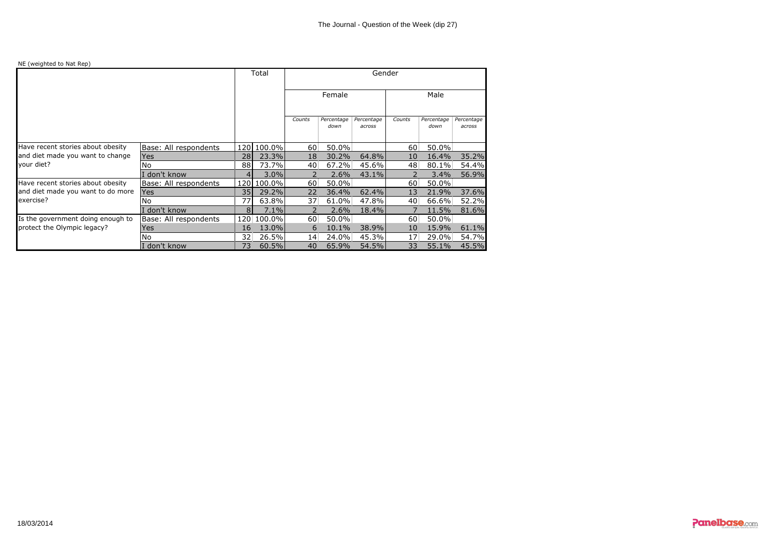## NE (weighted to Nat Rep)

|                                                |                       |                 | Total      | Gender          |                    |                             |                 |                    |                      |
|------------------------------------------------|-----------------------|-----------------|------------|-----------------|--------------------|-----------------------------|-----------------|--------------------|----------------------|
|                                                |                       |                 |            | Female          |                    |                             | Male            |                    |                      |
|                                                |                       |                 |            | Counts          | Percentage<br>down | <i>Percentage</i><br>across | Counts          | Percentage<br>down | Percentage<br>across |
| Have recent stories about obesity              | Base: All respondents |                 | 120 100.0% | 60.             | $50.0\%$           |                             | 60              | 50.0%              |                      |
| and diet made you want to change<br>your diet? | <b>Yes</b>            | 28              | 23.3%      | 18 <sup>1</sup> | $30.2\%$           | 64.8%                       | 10              | 16.4%              | 35.2%                |
|                                                | No                    | 88              | 73.7%      | 40              | $67.2\%$           | 45.6%                       | 48.             | 80.1%              | 54.4%                |
|                                                | don't know            | $\vert 4 \vert$ | 3.0%       |                 | $2.6\%$            | 43.1%                       |                 | 3.4%               | 56.9%                |
| Have recent stories about obesity              | Base: All respondents |                 | 120 100.0% | 60.             | $50.0\%$           |                             | 60.             | 50.0%              |                      |
| and diet made you want to do more<br>exercise? | Yes                   | 35              | 29.2%      | $22^{\circ}$    | $36.4\%$           | 62.4%                       | 13              | 21.9%              | 37.6%                |
|                                                | No                    | 77              | 63.8%      | 37.             | 61.0%              | 47.8%                       | 40.             | 66.6%              | 52.2%                |
|                                                | don't know            | 81              | 7.1%       |                 | $2.6\%$            | 18.4%                       |                 | 11.5%              | 81.6%                |
| Is the government doing enough to              | Base: All respondents |                 | 120 100.0% | 60              | $50.0\%$           |                             | 60              | 50.0%              |                      |
| protect the Olympic legacy?                    | Yes                   | 16 <sup>1</sup> | 13.0%      | 6               | $10.1\%$           | 38.9%                       | 10 <sup>1</sup> | 15.9%              | 61.1%                |
|                                                | No                    | 32.             | 26.5%      | 14 <sup>1</sup> | 24.0%              | 45.3%                       | 17:             | 29.0%              | 54.7%                |
|                                                | don't know            | 73 -            | 60.5%      | 40.             | 65.9%              | 54.5%                       | 33              | 55.1%              | 45.5%                |

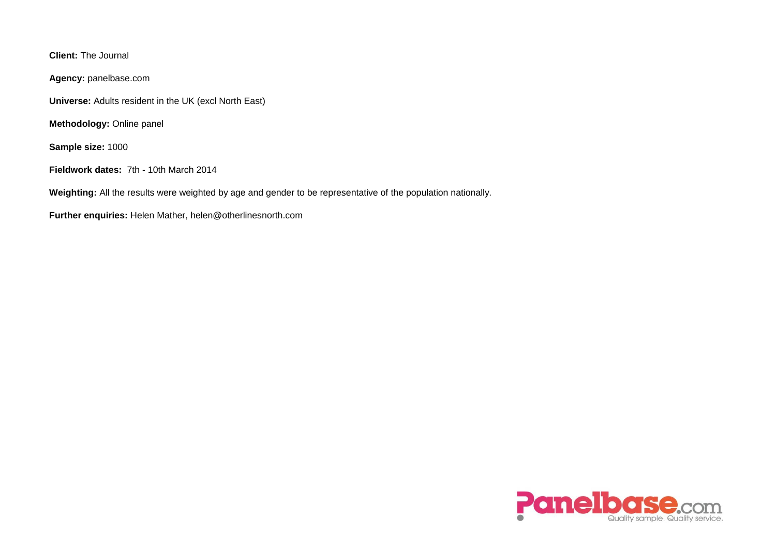**Client:** The Journal

**Agency:** panelbase.com

**Universe:** Adults resident in the UK (excl North East)

**Methodology:** Online panel

**Sample size:** 1000

**Fieldwork dates:** 7th - 10th March 2014

**Weighting:** All the results were weighted by age and gender to be representative of the population nationally.

**Further enquiries:** Helen Mather, helen@otherlinesnorth.com